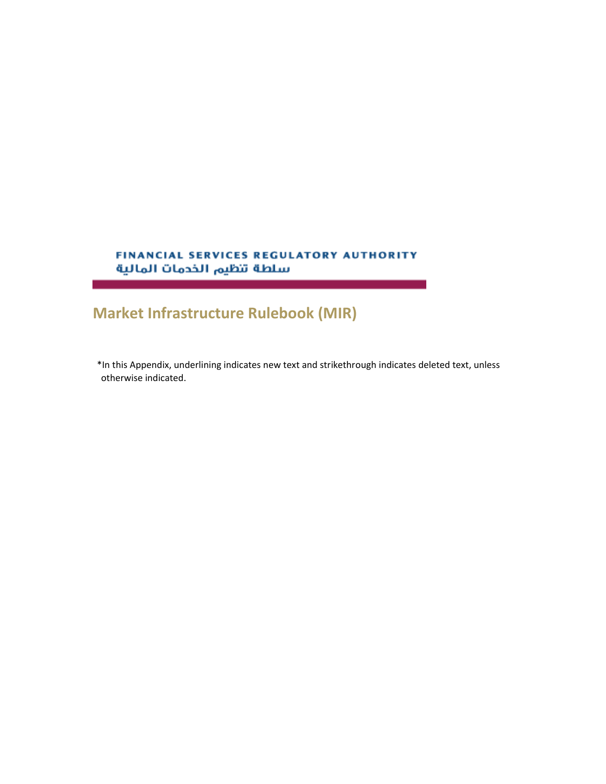## FINANCIAL SERVICES REGULATORY AUTHORITY سلطة تنظيم الخدمات المالية

## **Market Infrastructure Rulebook (MIR)**

a sa kacamatan ing Kabupatèn Bandar

\*In this Appendix, underlining indicates new text and strikethrough indicates deleted text, unless otherwise indicated.